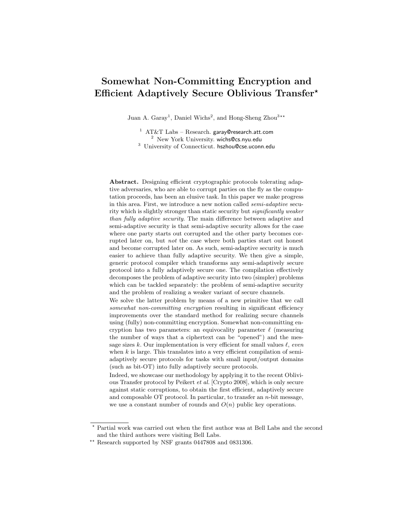# Somewhat Non-Committing Encryption and Efficient Adaptively Secure Oblivious Transfer<sup>\*</sup>

Juan A. Garay<sup>1</sup>, Daniel Wichs<sup>2</sup>, and Hong-Sheng Zhou<sup>3\*\*</sup>

 $1$  AT&T Labs – Research. garay@research.att.com <sup>2</sup> New York University. wichs@cs.nyu.edu <sup>3</sup> University of Connecticut. hszhou@cse.uconn.edu

Abstract. Designing efficient cryptographic protocols tolerating adaptive adversaries, who are able to corrupt parties on the fly as the computation proceeds, has been an elusive task. In this paper we make progress in this area. First, we introduce a new notion called semi-adaptive security which is slightly stronger than static security but significantly weaker than fully adaptive security. The main difference between adaptive and semi-adaptive security is that semi-adaptive security allows for the case where one party starts out corrupted and the other party becomes corrupted later on, but not the case where both parties start out honest and become corrupted later on. As such, semi-adaptive security is much easier to achieve than fully adaptive security. We then give a simple, generic protocol compiler which transforms any semi-adaptively secure protocol into a fully adaptively secure one. The compilation effectively decomposes the problem of adaptive security into two (simpler) problems which can be tackled separately: the problem of semi-adaptive security and the problem of realizing a weaker variant of secure channels.

We solve the latter problem by means of a new primitive that we call somewhat non-committing encryption resulting in significant efficiency improvements over the standard method for realizing secure channels using (fully) non-committing encryption. Somewhat non-committing encryption has two parameters: an equivocality parameter  $\ell$  (measuring the number of ways that a ciphertext can be "opened") and the message sizes k. Our implementation is very efficient for small values  $\ell$ , even when  $k$  is large. This translates into a very efficient compilation of semiadaptively secure protocols for tasks with small input/output domains (such as bit-OT) into fully adaptively secure protocols.

Indeed, we showcase our methodology by applying it to the recent Oblivious Transfer protocol by Peikert et al. [Crypto 2008], which is only secure against static corruptions, to obtain the first efficient, adaptively secure and composable OT protocol. In particular, to transfer an n-bit message, we use a constant number of rounds and  $O(n)$  public key operations.

<sup>?</sup> Partial work was carried out when the first author was at Bell Labs and the second and the third authors were visiting Bell Labs.

<sup>\*\*</sup> Research supported by NSF grants  $0447808$  and  $0831306$ .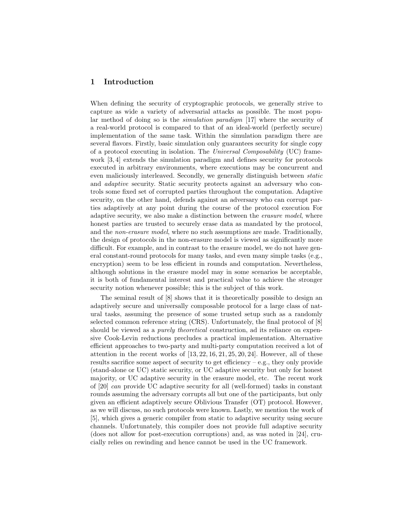# 1 Introduction

When defining the security of cryptographic protocols, we generally strive to capture as wide a variety of adversarial attacks as possible. The most popular method of doing so is the simulation paradigm [17] where the security of a real-world protocol is compared to that of an ideal-world (perfectly secure) implementation of the same task. Within the simulation paradigm there are several flavors. Firstly, basic simulation only guarantees security for single copy of a protocol executing in isolation. The Universal Composability (UC) framework [3, 4] extends the simulation paradigm and defines security for protocols executed in arbitrary environments, where executions may be concurrent and even maliciously interleaved. Secondly, we generally distinguish between static and *adaptive* security. Static security protects against an adversary who controls some fixed set of corrupted parties throughout the computation. Adaptive security, on the other hand, defends against an adversary who can corrupt parties adaptively at any point during the course of the protocol execution For adaptive security, we also make a distinction between the erasure model, where honest parties are trusted to securely erase data as mandated by the protocol, and the non-erasure model, where no such assumptions are made. Traditionally, the design of protocols in the non-erasure model is viewed as significantly more difficult. For example, and in contrast to the erasure model, we do not have general constant-round protocols for many tasks, and even many simple tasks (e.g., encryption) seem to be less efficient in rounds and computation. Nevertheless, although solutions in the erasure model may in some scenarios be acceptable, it is both of fundamental interest and practical value to achieve the stronger security notion whenever possible; this is the subject of this work.

The seminal result of [8] shows that it is theoretically possible to design an adaptively secure and universally composable protocol for a large class of natural tasks, assuming the presence of some trusted setup such as a randomly selected common reference string (CRS). Unfortunately, the final protocol of [8] should be viewed as a *purely theoretical* construction, ad its reliance on expensive Cook-Levin reductions precludes a practical implementation. Alternative efficient approaches to two-party and multi-party computation received a lot of attention in the recent works of  $[13, 22, 16, 21, 25, 20, 24]$ . However, all of these results sacrifice some aspect of security to get efficiency – e.g., they only provide (stand-alone or UC) static security, or UC adaptive security but only for honest majority, or UC adaptive security in the erasure model, etc. The recent work of [20] can provide UC adaptive security for all (well-formed) tasks in constant rounds assuming the adversary corrupts all but one of the participants, but only given an efficient adaptively secure Oblivious Transfer (OT) protocol. However, as we will discuss, no such protocols were known. Lastly, we mention the work of [5], which gives a generic compiler from static to adaptive security using secure channels. Unfortunately, this compiler does not provide full adaptive security (does not allow for post-execution corruptions) and, as was noted in [24], crucially relies on rewinding and hence cannot be used in the UC framework.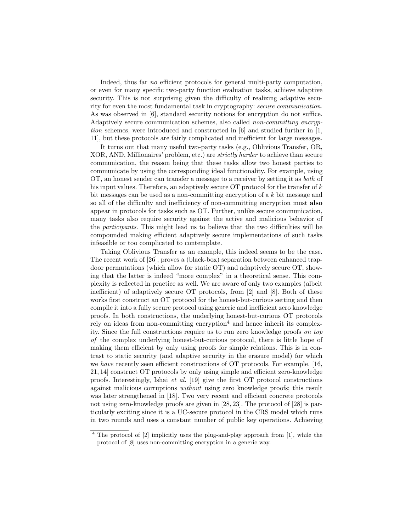Indeed, thus far no efficient protocols for general multi-party computation, or even for many specific two-party function evaluation tasks, achieve adaptive security. This is not surprising given the difficulty of realizing adaptive security for even the most fundamental task in cryptography: secure communication. As was observed in [6], standard security notions for encryption do not suffice. Adaptively secure communication schemes, also called non-committing encryption schemes, were introduced and constructed in [6] and studied further in [1, 11], but these protocols are fairly complicated and inefficient for large messages.

It turns out that many useful two-party tasks (e.g., Oblivious Transfer, OR, XOR, AND, Millionaires' problem, etc.) are strictly harder to achieve than secure communication, the reason being that these tasks allow two honest parties to communicate by using the corresponding ideal functionality. For example, using OT, an honest sender can transfer a message to a receiver by setting it as both of his input values. Therefore, an adaptively secure OT protocol for the transfer of k bit messages can be used as a non-committing encryption of a k bit message and so all of the difficulty and inefficiency of non-committing encryption must also appear in protocols for tasks such as OT. Further, unlike secure communication, many tasks also require security against the active and malicious behavior of the participants. This might lead us to believe that the two difficulties will be compounded making efficient adaptively secure implementations of such tasks infeasible or too complicated to contemplate.

Taking Oblivious Transfer as an example, this indeed seems to be the case. The recent work of [26], proves a (black-box) separation between enhanced trapdoor permutations (which allow for static OT) and adaptively secure OT, showing that the latter is indeed "more complex" in a theoretical sense. This complexity is reflected in practice as well. We are aware of only two examples (albeit inefficient) of adaptively secure OT protocols, from [2] and [8]. Both of these works first construct an OT protocol for the honest-but-curious setting and then compile it into a fully secure protocol using generic and inefficient zero knowledge proofs. In both constructions, the underlying honest-but-curious OT protocols rely on ideas from non-committing encryption<sup>4</sup> and hence inherit its complexity. Since the full constructions require us to run zero knowledge proofs on top of the complex underlying honest-but-curious protocol, there is little hope of making them efficient by only using proofs for simple relations. This is in contrast to static security (and adaptive security in the erasure model) for which we have recently seen efficient constructions of OT protocols. For example, [16, 21, 14] construct OT protocols by only using simple and efficient zero-knowledge proofs. Interestingly, Ishai et al. [19] give the first OT protocol constructions against malicious corruptions without using zero knowledge proofs; this result was later strengthened in [18]. Two very recent and efficient concrete protocols not using zero-knowledge proofs are given in [28, 23]. The protocol of [28] is particularly exciting since it is a UC-secure protocol in the CRS model which runs in two rounds and uses a constant number of public key operations. Achieving

<sup>4</sup> The protocol of [2] implicitly uses the plug-and-play approach from [1], while the protocol of [8] uses non-committing encryption in a generic way.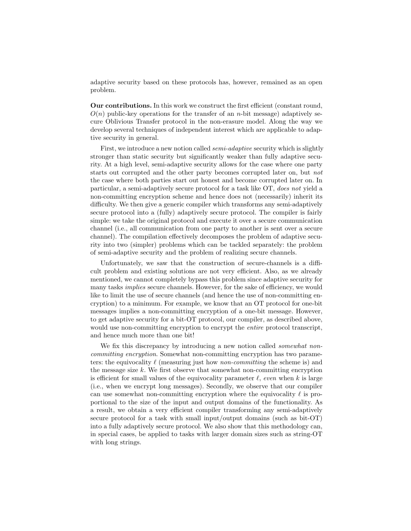adaptive security based on these protocols has, however, remained as an open problem.

Our contributions. In this work we construct the first efficient (constant round,  $O(n)$  public-key operations for the transfer of an *n*-bit message) adaptively secure Oblivious Transfer protocol in the non-erasure model. Along the way we develop several techniques of independent interest which are applicable to adaptive security in general.

First, we introduce a new notion called *semi-adaptive* security which is slightly stronger than static security but significantly weaker than fully adaptive security. At a high level, semi-adaptive security allows for the case where one party starts out corrupted and the other party becomes corrupted later on, but not the case where both parties start out honest and become corrupted later on. In particular, a semi-adaptively secure protocol for a task like OT, does not yield a non-committing encryption scheme and hence does not (necessarily) inherit its difficulty. We then give a generic compiler which transforms any semi-adaptively secure protocol into a (fully) adaptively secure protocol. The compiler is fairly simple: we take the original protocol and execute it over a secure communication channel (i.e., all communication from one party to another is sent over a secure channel). The compilation effectively decomposes the problem of adaptive security into two (simpler) problems which can be tackled separately: the problem of semi-adaptive security and the problem of realizing secure channels.

Unfortunately, we saw that the construction of secure-channels is a difficult problem and existing solutions are not very efficient. Also, as we already mentioned, we cannot completely bypass this problem since adaptive security for many tasks implies secure channels. However, for the sake of efficiency, we would like to limit the use of secure channels (and hence the use of non-committing encryption) to a minimum. For example, we know that an OT protocol for one-bit messages implies a non-committing encryption of a one-bit message. However, to get adaptive security for a bit-OT protocol, our compiler, as described above, would use non-committing encryption to encrypt the *entire* protocol transcript, and hence much more than one bit!

We fix this discrepancy by introducing a new notion called *somewhat non*committing encryption. Somewhat non-committing encryption has two parameters: the equivocality  $\ell$  (measuring just how *non-committing* the scheme is) and the message size  $k$ . We first observe that somewhat non-committing encryption is efficient for small values of the equivocality parameter  $\ell$ , even when k is large (i.e., when we encrypt long messages). Secondly, we observe that our compiler can use somewhat non-committing encryption where the equivocality  $\ell$  is proportional to the size of the input and output domains of the functionality. As a result, we obtain a very efficient compiler transforming any semi-adaptively secure protocol for a task with small input/output domains (such as bit-OT) into a fully adaptively secure protocol. We also show that this methodology can, in special cases, be applied to tasks with larger domain sizes such as string-OT with long strings.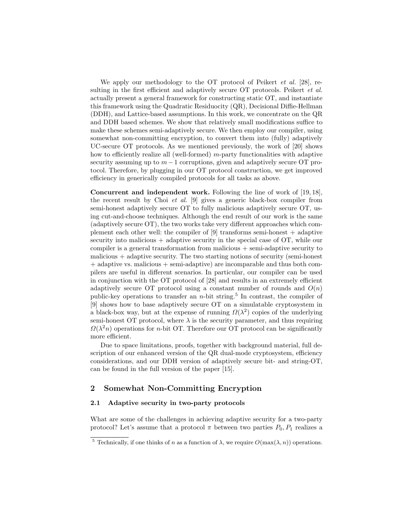We apply our methodology to the OT protocol of Peikert et al. [28], resulting in the first efficient and adaptively secure OT protocols. Peikert *et al.* actually present a general framework for constructing static OT, and instantiate this framework using the Quadratic Residuocity (QR), Decisional Diffie-Hellman (DDH), and Lattice-based assumptions. In this work, we concentrate on the QR and DDH based schemes. We show that relatively small modifications suffice to make these schemes semi-adaptively secure. We then employ our compiler, using somewhat non-committing encryption, to convert them into (fully) adaptively UC-secure OT protocols. As we mentioned previously, the work of [20] shows how to efficiently realize all (well-formed)  $m$ -party functionalities with adaptive security assuming up to  $m-1$  corruptions, given and adaptively secure OT protocol. Therefore, by plugging in our OT protocol construction, we get improved efficiency in generically compiled protocols for all tasks as above.

Concurrent and independent work. Following the line of work of [19, 18], the recent result by Choi et al. [9] gives a generic black-box compiler from semi-honest adaptively secure OT to fully malicious adaptively secure OT, using cut-and-choose techniques. Although the end result of our work is the same (adaptively secure OT), the two works take very different approaches which complement each other well: the compiler of  $[9]$  transforms semi-honest  $+$  adaptive security into malicious + adaptive security in the special case of OT, while our compiler is a general transformation from malicious  $+$  semi-adaptive security to malicious  $+$  adaptive security. The two starting notions of security (semi-honest) + adaptive vs. malicious + semi-adaptive) are incomparable and thus both compilers are useful in different scenarios. In particular, our compiler can be used in conjunction with the OT protocol of [28] and results in an extremely efficient adaptively secure OT protocol using a constant number of rounds and  $O(n)$ public-key operations to transfer an  $n$ -bit string.<sup>5</sup> In contrast, the compiler of [9] shows how to base adaptively secure OT on a simulatable cryptosystem in a black-box way, but at the expense of running  $\Omega(\lambda^2)$  copies of the underlying semi-honest OT protocol, where  $\lambda$  is the security parameter, and thus requiring  $\Omega(\lambda^2 n)$  operations for *n*-bit OT. Therefore our OT protocol can be significantly more efficient.

Due to space limitations, proofs, together with background material, full description of our enhanced version of the QR dual-mode cryptosystem, efficiency considerations, and our DDH version of adaptively secure bit- and string-OT, can be found in the full version of the paper [15].

## 2 Somewhat Non-Committing Encryption

## 2.1 Adaptive security in two-party protocols

What are some of the challenges in achieving adaptive security for a two-party protocol? Let's assume that a protocol  $\pi$  between two parties  $P_0, P_1$  realizes a

<sup>&</sup>lt;sup>5</sup> Technically, if one thinks of *n* as a function of  $\lambda$ , we require  $O(\max(\lambda, n))$  operations.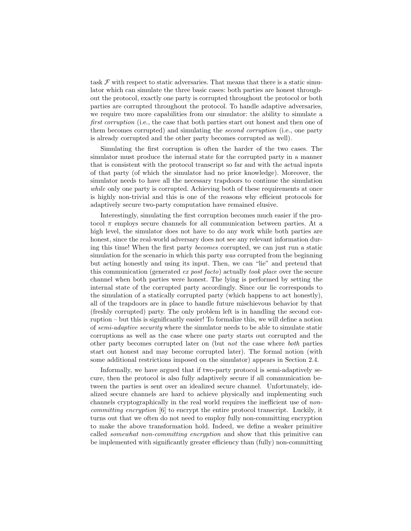task  $\mathcal F$  with respect to static adversaries. That means that there is a static simulator which can simulate the three basic cases: both parties are honest throughout the protocol, exactly one party is corrupted throughout the protocol or both parties are corrupted throughout the protocol. To handle adaptive adversaries, we require two more capabilities from our simulator: the ability to simulate a first corruption (i.e., the case that both parties start out honest and then one of them becomes corrupted) and simulating the second corruption (i.e., one party is already corrupted and the other party becomes corrupted as well).

Simulating the first corruption is often the harder of the two cases. The simulator must produce the internal state for the corrupted party in a manner that is consistent with the protocol transcript so far and with the actual inputs of that party (of which the simulator had no prior knowledge). Moreover, the simulator needs to have all the necessary trapdoors to continue the simulation while only one party is corrupted. Achieving both of these requirements at once is highly non-trivial and this is one of the reasons why efficient protocols for adaptively secure two-party computation have remained elusive.

Interestingly, simulating the first corruption becomes much easier if the protocol  $\pi$  employs secure channels for all communication between parties. At a high level, the simulator does not have to do any work while both parties are honest, since the real-world adversary does not see any relevant information during this time! When the first party becomes corrupted, we can just run a static simulation for the scenario in which this party was corrupted from the beginning but acting honestly and using its input. Then, we can "lie" and pretend that this communication (generated ex post facto) actually took place over the secure channel when both parties were honest. The lying is performed by setting the internal state of the corrupted party accordingly. Since our lie corresponds to the simulation of a statically corrupted party (which happens to act honestly), all of the trapdoors are in place to handle future mischievous behavior by that (freshly corrupted) party. The only problem left is in handling the second corruption – but this is significantly easier! To formalize this, we will define a notion of semi-adaptive security where the simulator needs to be able to simulate static corruptions as well as the case where one party starts out corrupted and the other party becomes corrupted later on (but not the case where both parties start out honest and may become corrupted later). The formal notion (with some additional restrictions imposed on the simulator) appears in Section 2.4.

Informally, we have argued that if two-party protocol is semi-adaptively secure, then the protocol is also fully adaptively secure if all communication between the parties is sent over an idealized secure channel. Unfortunately, idealized secure channels are hard to achieve physically and implementing such channels cryptographically in the real world requires the inefficient use of noncommitting encryption [6] to encrypt the entire protocol transcript. Luckily, it turns out that we often do not need to employ fully non-committing encryption to make the above transformation hold. Indeed, we define a weaker primitive called somewhat non-committing encryption and show that this primitive can be implemented with significantly greater efficiency than (fully) non-committing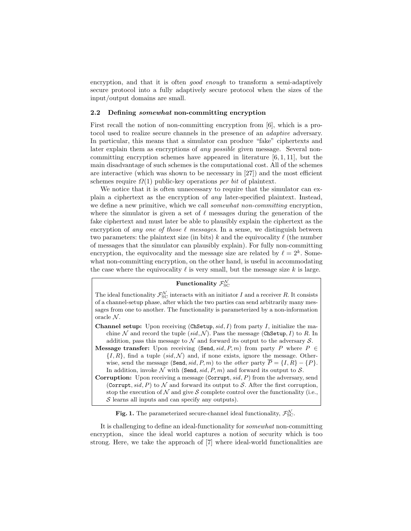encryption, and that it is often good enough to transform a semi-adaptively secure protocol into a fully adaptively secure protocol when the sizes of the input/output domains are small.

#### 2.2 Defining somewhat non-committing encryption

First recall the notion of non-committing encryption from [6], which is a protocol used to realize secure channels in the presence of an adaptive adversary. In particular, this means that a simulator can produce "fake" ciphertexts and later explain them as encryptions of any possible given message. Several noncommitting encryption schemes have appeared in literature  $[6, 1, 11]$ , but the main disadvantage of such schemes is the computational cost. All of the schemes are interactive (which was shown to be necessary in [27]) and the most efficient schemes require  $\Omega(1)$  public-key operations per bit of plaintext.

We notice that it is often unnecessary to require that the simulator can explain a ciphertext as the encryption of any later-specified plaintext. Instead, we define a new primitive, which we call *somewhat non-committing* encryption, where the simulator is given a set of  $\ell$  messages during the generation of the fake ciphertext and must later be able to plausibly explain the ciphertext as the encryption of any one of those  $\ell$  messages. In a sense, we distinguish between two parameters: the plaintext size (in bits)  $k$  and the equivocality  $\ell$  (the number of messages that the simulator can plausibly explain). For fully non-committing encryption, the equivocality and the message size are related by  $\ell = 2^k$ . Somewhat non-committing encryption, on the other hand, is useful in accommodating the case where the equivocality  $\ell$  is very small, but the message size k is large.

# Functionality  $\mathcal{F}^{\mathcal{N}}_{\text{SC}}$

The ideal functionality  $\mathcal{F}_{SC}^{\mathcal{N}}$  interacts with an initiator I and a receiver R. It consists of a channel-setup phase, after which the two parties can send arbitrarily many messages from one to another. The functionality is parameterized by a non-information oracle  $N$ .

Channel setup: Upon receiving (ChSetup,  $sid, I$ ) from party I, initialize the machine N and record the tuple  $(sid, \mathcal{N})$ . Pass the message (ChSetup, I) to R. In addition, pass this message to  $\mathcal N$  and forward its output to the adversary  $\mathcal S$ .

**Message transfer:** Upon receiving (Send, sid, P, m) from party P where  $P \in$  $\{I, R\}$ , find a tuple  $(sid, \mathcal{N})$  and, if none exists, ignore the message. Otherwise, send the message (Send, sid, P, m) to the other party  $\overline{P} = \{I, R\} - \{P\}$ . In addition, invoke  $N$  with (Send, sid, P, m) and forward its output to S.

**Corruption:** Upon receiving a message  $(Corrupt, sid, P)$  from the adversary, send (Corrupt, sid, P) to N and forward its output to S. After the first corruption, stop the execution of N and give S complete control over the functionality (i.e.,  $S$  learns all inputs and can specify any outputs).

Fig. 1. The parameterized secure-channel ideal functionality,  $\mathcal{F}_{\text{SC}}^{\mathcal{N}}$ .

It is challenging to define an ideal-functionality for somewhat non-committing encryption, since the ideal world captures a notion of security which is too strong. Here, we take the approach of [7] where ideal-world functionalities are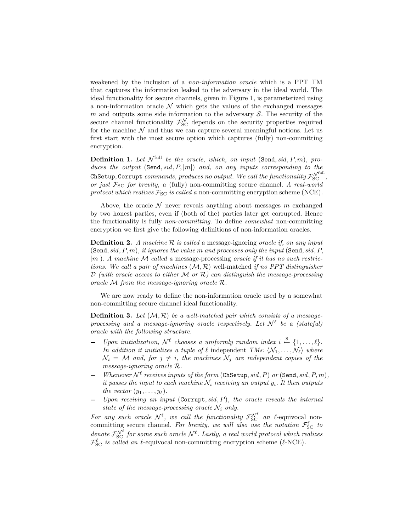weakened by the inclusion of a *non-information oracle* which is a PPT TM that captures the information leaked to the adversary in the ideal world. The ideal functionality for secure channels, given in Figure 1, is parameterized using a non-information oracle  $\mathcal N$  which gets the values of the exchanged messages  $m$  and outputs some side information to the adversary  $S$ . The security of the secure channel functionality  $\mathcal{F}_{\text{SC}}^{\mathcal{N}}$  depends on the security properties required for the machine  $\mathcal N$  and thus we can capture several meaningful notions. Let us first start with the most secure option which captures (fully) non-committing encryption.

**Definition 1.** Let  $\mathcal{N}^{\text{full}}$  be the oracle, which, on input (Send, sid, P, m), produces the output  $(Send, sid, P, |m|)$  and, on any inputs corresponding to the  ${\tt ChSetup, Corrupt}\ commands,\ produces\ no\ output.\ We\ call\ the\ functionality \ {\cal F}_{\rm SC}^{{\cal N}^{\rm full}},$ or just  $\mathcal{F}_{SC}$  for brevity, a (fully) non-committing secure channel. A real-world protocol which realizes  $\mathcal{F}_{SC}$  is called a non-committing encryption scheme (NCE).

Above, the oracle  $N$  never reveals anything about messages  $m$  exchanged by two honest parties, even if (both of the) parties later get corrupted. Hence the functionality is fully non-committing. To define somewhat non-committing encryption we first give the following definitions of non-information oracles.

**Definition 2.** A machine  $\mathcal R$  is called a message-ignoring oracle if, on any input (Send, sid,  $P, m$ ), it ignores the value m and processes only the input (Send, sid,  $P$ ,  $|m|$ ). A machine M called a message-processing oracle if it has no such restrictions. We call a pair of machines  $(M, \mathcal{R})$  well-matched if no PPT distinguisher D (with oracle access to either M or R) can distinguish the message-processing oracle M from the message-ignoring oracle R.

We are now ready to define the non-information oracle used by a somewhat non-committing secure channel ideal functionality.

**Definition 3.** Let  $(M, R)$  be a well-matched pair which consists of a messageprocessing and a message-ignoring oracle respectively. Let  $\mathcal{N}^{\ell}$  be a (stateful) oracle with the following structure.

- Upon initialization,  $\mathcal{N}^{\ell}$  chooses a uniformly random index  $i \stackrel{\$}{\leftarrow} \{1, \ldots, \ell\}.$ In addition it initializes a tuple of  $\ell$  independent TMs:  $\langle \mathcal{N}_1, \ldots, \mathcal{N}_\ell \rangle$  where  $\mathcal{N}_i = \mathcal{M}$  and, for  $j \neq i$ , the machines  $\mathcal{N}_j$  are independent copies of the message-ignoring oracle R.
- Whenever  $\mathcal{N}^{\ell}$  receives inputs of the form (ChSetup, sid, P) or (Send, sid, P, m), it passes the input to each machine  $\mathcal{N}_i$  receiving an output  $y_i$ . It then outputs the vector  $(y_1, \ldots, y_\ell)$ .
- Upon receiving an input  $(Corrupt, sid, P)$ , the oracle reveals the internal state of the message-processing oracle  $\mathcal{N}_i$  only.

For any such oracle  $\mathcal{N}^{\ell}$ , we call the functionality  $\mathcal{F}_{SC}^{\mathcal{N}^{\ell}}$  an  $\ell$ -equivocal noncommitting secure channel. For brevity, we will also use the notation  $\mathcal{F}^{\ell}_{\rm SC}$  to denote  $\mathcal{F}_{SC}^{\mathcal{N}^{\ell}}$  for some such oracle  $\mathcal{N}^{\ell}$ . Lastly, a real world protocol which realizes  $\mathcal{F}_{SC}^{\ell}$  is called an  $\ell$ -equivocal non-committing encryption scheme ( $\ell$ -NCE).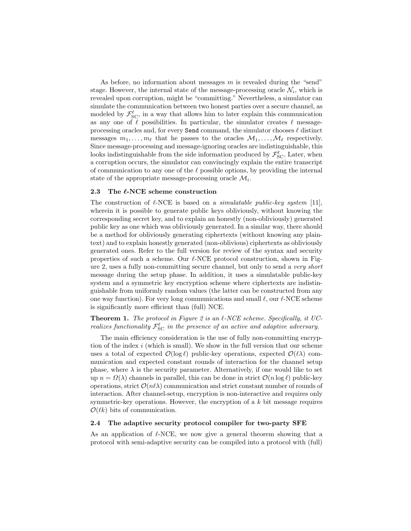As before, no information about messages  $m$  is revealed during the "send" stage. However, the internal state of the message-processing oracle  $\mathcal{N}_i$ , which is revealed upon corruption, might be "committing." Nevertheless, a simulator can simulate the communication between two honest parties over a secure channel, as modeled by  $\mathcal{F}_{SC}^{\ell}$ , in a way that allows him to later explain this communication as any one of  $\ell$  possibilities. In particular, the simulator creates  $\ell$  messageprocessing oracles and, for every **Send** command, the simulator chooses  $\ell$  distinct messages  $m_1, \ldots, m_\ell$  that he passes to the oracles  $\mathcal{M}_1, \ldots, \mathcal{M}_\ell$  respectively. Since message-processing and message-ignoring oracles are indistinguishable, this looks indistinguishable from the side information produced by  $\mathcal{F}^{\ell}_{\rm SC}$ . Later, when a corruption occurs, the simulator can convincingly explain the entire transcript of communication to any one of the  $\ell$  possible options, by providing the internal state of the appropriate message-processing oracle  $\mathcal{M}_i$ .

## 2.3 The  $\ell$ -NCE scheme construction

The construction of  $\ell$ -NCE is based on a *simulatable public-key system* [11], wherein it is possible to generate public keys obliviously, without knowing the corresponding secret key, and to explain an honestly (non-obliviously) generated public key as one which was obliviously generated. In a similar way, there should be a method for obliviously generating ciphertexts (without knowing any plaintext) and to explain honestly generated (non-oblivious) ciphertexts as obliviously generated ones. Refer to the full version for review of the syntax and security properties of such a scheme. Our  $\ell$ -NCE protocol construction, shown in Figure 2, uses a fully non-committing secure channel, but only to send a very short message during the setup phase. In addition, it uses a simulatable public-key system and a symmetric key encryption scheme where ciphertexts are indistinguishable from uniformly random values (the latter can be constructed from any one way function). For very long communications and small  $\ell$ , our  $\ell$ -NCE scheme is significantly more efficient than (full) NCE.

**Theorem 1.** The protocol in Figure 2 is an  $\ell$ -NCE scheme. Specifically, it UCrealizes functionality  $\mathcal{F}_{\text{SC}}^{\ell}$  in the presence of an active and adaptive adversary.

The main efficiency consideration is the use of fully non-committing encryption of the index  $i$  (which is small). We show in the full version that our scheme uses a total of expected  $\mathcal{O}(\log \ell)$  public-key operations, expected  $\mathcal{O}(\ell \lambda)$  communication and expected constant rounds of interaction for the channel setup phase, where  $\lambda$  is the security parameter. Alternatively, if one would like to set up  $n = \Omega(\lambda)$  channels in parallel, this can be done in strict  $\mathcal{O}(n \log \ell)$  public-key operations, strict  $\mathcal{O}(n\ell\lambda)$  communication and strict constant number of rounds of interaction. After channel-setup, encryption is non-interactive and requires only symmetric-key operations. However, the encryption of a  $k$  bit message requires  $\mathcal{O}(\ell k)$  bits of communication.

# 2.4 The adaptive security protocol compiler for two-party SFE

As an application of  $\ell$ -NCE, we now give a general theorem showing that a protocol with semi-adaptive security can be compiled into a protocol with (full)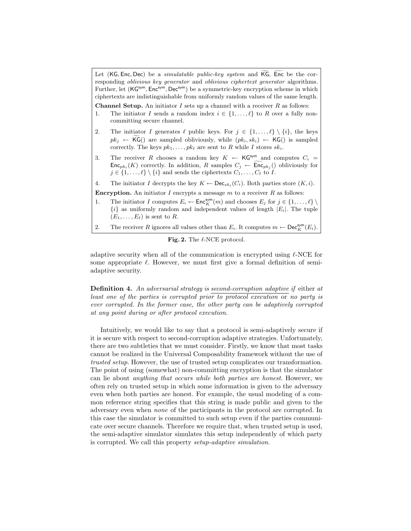Let  $(KG, Enc, Dec)$  be a *simulatable public-key system* and  $\widetilde{KG}$ ,  $\widetilde{Enc}$  be the corresponding oblivious key generator and oblivious ciphertext generator algorithms. Further, let (KG<sup>sym</sup>, Enc<sup>sym</sup>, Dec<sup>sym</sup>) be a symmetric-key encryption scheme in which ciphertexts are indistinguishable from uniformly random values of the same length.

**Channel Setup.** An initiator  $I$  sets up a channel with a receiver  $R$  as follows:

- 1. The initiator I sends a random index  $i \in \{1, \ldots, \ell\}$  to R over a fully noncommitting secure channel.
- 2. The initiator I generates  $\ell$  public keys. For  $j \in \{1, \ldots, \ell\} \setminus \{i\}$ , the keys  $pk_j \leftarrow \mathsf{KG}()$  are sampled obliviously, while  $(pk_i, sk_i) \leftarrow \mathsf{KG}(()$  is sampled correctly. The keys  $pk_1, \ldots, pk_\ell$  are sent to R while I stores  $sk_i$ .
- 3. The receiver R chooses a random key  $K \leftarrow {\sf KG}^{\sf sym}$  and computes  $C_i =$  $\mathsf{Enc}_{pk_i}(K)$  correctly. In addition,  $R$  samples  $C_j \leftarrow \mathsf{Enc}_{pk_j}(\mathcal{C})$  obliviously for  $j \in \{1, \ldots, \ell\} \setminus \{i\}$  and sends the ciphertexts  $C_1, \ldots, C_\ell$  to  $I$ .
- 4. The initiator I decrypts the key  $K \leftarrow \mathsf{Dec}_{sk_i}(C_i)$ . Both parties store  $(K, i)$ .

**Encryption.** An initiator  $I$  encrypts a message  $m$  to a receiver  $R$  as follows:

- 1. The initiator I computes  $E_i \leftarrow \mathsf{Enc}_{K}^{\mathsf{sym}}(m)$  and chooses  $E_j$  for  $j \in \{1, ..., \ell\} \setminus \mathsf{C}$  ${i}$  as uniformly random and independent values of length  $|E_i|$ . The tuple  $(E_1, \ldots, E_\ell)$  is sent to R.
- 2. The receiver R ignores all values other than  $E_i$ . It computes  $m \leftarrow \mathsf{Dec}_{K}^{\mathsf{sym}}(E_i)$ .

#### Fig. 2. The  $\ell$ -NCE protocol.

adaptive security when all of the communication is encrypted using  $\ell$ -NCE for some appropriate  $\ell$ . However, we must first give a formal definition of semiadaptive security.

Definition 4. An adversarial strategy is second-corruption adaptive if either at least one of the parties is corrupted prior to protocol execution or no party is ever corrupted. In the former case, the other party can be adaptively corrupted at any point during or after protocol execution.

Intuitively, we would like to say that a protocol is semi-adaptively secure if it is secure with respect to second-corruption adaptive strategies. Unfortunately, there are two subtleties that we must consider. Firstly, we know that most tasks cannot be realized in the Universal Composability framework without the use of trusted setup. However, the use of trusted setup complicates our transformation. The point of using (somewhat) non-committing encryption is that the simulator can lie about anything that occurs while both parties are honest. However, we often rely on trusted setup in which some information is given to the adversary even when both parties are honest. For example, the usual modeling of a common reference string specifies that this string is made public and given to the adversary even when none of the participants in the protocol are corrupted. In this case the simulator is committed to such setup even if the parties communicate over secure channels. Therefore we require that, when trusted setup is used, the semi-adaptive simulator simulates this setup independently of which party is corrupted. We call this property setup-adaptive simulation.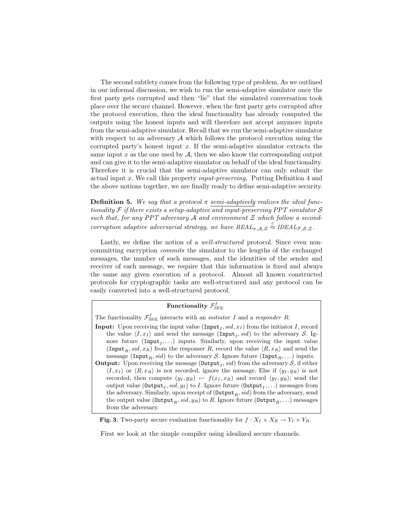The second subtlety comes from the following type of problem. As we outlined in our informal discussion, we wish to run the semi-adaptive simulator once the first party gets corrupted and then "lie" that the simulated conversation took place over the secure channel. However, when the first party gets corrupted after the protocol execution, then the ideal functionality has already computed the outputs using the honest inputs and will therefore not accept anymore inputs from the semi-adaptive simulator. Recall that we run the semi-adaptive simulator with respect to an adversary  $A$  which follows the protocol execution using the corrupted party's honest input  $x$ . If the semi-adaptive simulator extracts the same input x as the one used by  $A$ , then we also know the corresponding output and can give it to the semi-adaptive simulator on behalf of the ideal functionality. Therefore it is crucial that the semi-adaptive simulator can only submit the actual input x. We call this property input-preserving. Putting Definition 4 and the above notions together, we are finally ready to define semi-adaptive security.

**Definition 5.** We say that a protocol  $\pi$  semi-adaptively realizes the ideal functionality  $\mathcal F$  if there exists a setup-adaptive and input-preserving PPT simulator  $\mathcal S$ such that, for any PPT adversary  $A$  and environment  $Z$  which follow a secondcorruption adaptive adversarial strategy, we have  $REAL_{\pi,A,Z} \overset{c}{\approx} IDEAL_{\mathcal{F},S,Z}$ .

Lastly, we define the notion of a *well-structured* protocol. Since even noncommitting encryption commits the simulator to the lengths of the exchanged messages, the number of such messages, and the identities of the sender and receiver of each message, we require that this information is fixed and always the same any given execution of a protocol. Almost all known constructed protocols for cryptographic tasks are well-structured and any protocol can be easily converted into a well-structured protocol.

# Functionality  $\mathcal{F}^f_{\rm SFE}$ The functionality  $\mathcal{F}_{\rm SFE}^f$  interacts with an *initiator I* and a responder R. **Input:** Upon receiving the input value  $(\text{Input}_I, sid, x_I)$  from the initiator I, record the value  $\langle I, x_I \rangle$  and send the message (Input<sub>I</sub>, sid) to the adversary S. Ignore future  $(\text{Input}_I, \ldots)$  inputs. Similarly, upon receiving the input value  $(Input<sub>R</sub>, sid, x<sub>R</sub>)$  from the responser R, record the value  $\langle R, x<sub>R</sub> \rangle$  and send the message (Input<sub>R</sub>, sid) to the adversary S. Ignore future (Input<sub>R</sub>, ...) inputs. **Output:** Upon receiving the message ( $\text{Output}_I$ , sid) from the adversary  $S$ , if either  $\langle I, x_I \rangle$  or  $\langle R, x_R \rangle$  is not recorded, ignore the message. Else if  $\langle y_I, y_R \rangle$  is not recorded, then compute  $(y_I, y_R) \leftarrow f(x_I, x_R)$  and record  $\langle y_I, y_R \rangle$ ; send the output value  $(\texttt{Output}_I, sid, y_I)$  to I. Ignore future  $(\texttt{Output}_I, \ldots)$  messages from the adversary. Similarly, upon receipt of  $(\text{Output}_R, sid)$  from the adversary, send the output value ( $\text{Output}_R$ , sid,  $y_R$ ) to R. Ignore future ( $\text{Output}_R, \ldots$ ) messages from the adversary.

**Fig. 3.** Two-party secure evaluation functionality for  $f: X_I \times X_R \to Y_I \times Y_R$ .

First we look at the simple compiler using idealized secure channels.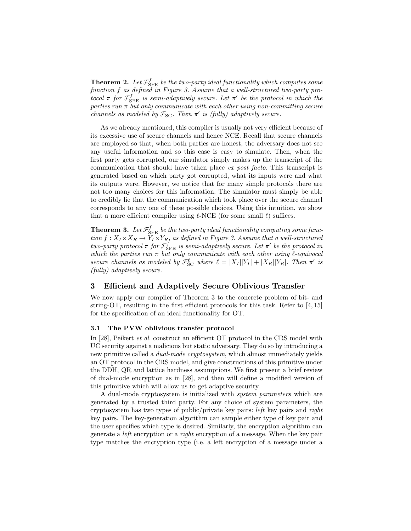**Theorem 2.** Let  $\mathcal{F}_{\rm SFE}^f$  be the two-party ideal functionality which computes some function f as defined in Figure 3. Assume that a well-structured two-party protocol  $\pi$  for  $\mathcal{F}_{\rm SFE}^f$  is semi-adaptively secure. Let  $\pi'$  be the protocol in which the parties run  $\pi$  but only communicate with each other using non-committing secure channels as modeled by  $\mathcal{F}_{SC}$ . Then  $\pi'$  is (fully) adaptively secure.

As we already mentioned, this compiler is usually not very efficient because of its excessive use of secure channels and hence NCE. Recall that secure channels are employed so that, when both parties are honest, the adversary does not see any useful information and so this case is easy to simulate. Then, when the first party gets corrupted, our simulator simply makes up the transcript of the communication that should have taken place ex post facto. This transcript is generated based on which party got corrupted, what its inputs were and what its outputs were. However, we notice that for many simple protocols there are not too many choices for this information. The simulator must simply be able to credibly lie that the communication which took place over the secure channel corresponds to any one of these possible choices. Using this intuition, we show that a more efficient compiler using  $\ell$ -NCE (for some small  $\ell$ ) suffices.

**Theorem 3.** Let  $\mathcal{F}^f_{\text{SFE}}$  be the two-party ideal functionality computing some function  $f: X_I \times X_R \to Y_I \times Y_R$ , as defined in Figure 3. Assume that a well-structured two-party protocol  $\pi$  for  $\mathcal{F}_{\rm SFE}^f$  is semi-adaptively secure. Let  $\pi'$  be the protocol in which the parties run  $\pi$  but only communicate with each other using  $\ell$ -equivocal secure channels as modeled by  $\mathcal{F}_{SC}^{\ell}$  where  $\ell = |X_I||Y_I| + |X_R||Y_R|$ . Then  $\pi'$  is (fully) adaptively secure.

# 3 Efficient and Adaptively Secure Oblivious Transfer

We now apply our compiler of Theorem 3 to the concrete problem of bit- and string-OT, resulting in the first efficient protocols for this task. Refer to [4, 15] for the specification of an ideal functionality for OT.

#### 3.1 The PVW oblivious transfer protocol

In [28], Peikert *et al.* construct an efficient OT protocol in the CRS model with UC security against a malicious but static adversary. They do so by introducing a new primitive called a *dual-mode cryptosystem*, which almost immediately yields an OT protocol in the CRS model, and give constructions of this primitive under the DDH, QR and lattice hardness assumptions. We first present a brief review of dual-mode encryption as in [28], and then will define a modified version of this primitive which will allow us to get adaptive security.

A dual-mode cryptosystem is initialized with system parameters which are generated by a trusted third party. For any choice of system parameters, the cryptosystem has two types of public/private key pairs: left key pairs and right key pairs. The key-generation algorithm can sample either type of key pair and the user specifies which type is desired. Similarly, the encryption algorithm can generate a left encryption or a right encryption of a message. When the key pair type matches the encryption type (i.e. a left encryption of a message under a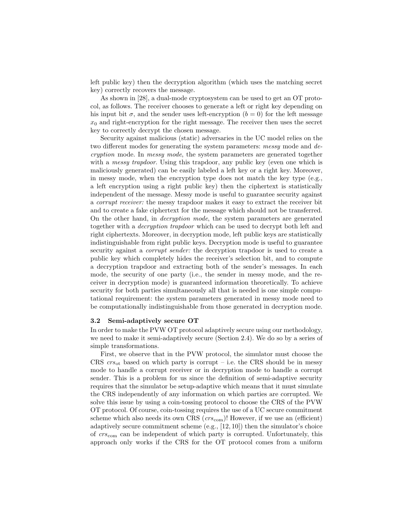left public key) then the decryption algorithm (which uses the matching secret key) correctly recovers the message.

As shown in [28], a dual-mode cryptosystem can be used to get an OT protocol, as follows. The receiver chooses to generate a left or right key depending on his input bit  $\sigma$ , and the sender uses left-encryption  $(b = 0)$  for the left message  $x_0$  and right-encryption for the right message. The receiver then uses the secret key to correctly decrypt the chosen message.

Security against malicious (static) adversaries in the UC model relies on the two different modes for generating the system parameters: messy mode and decryption mode. In messy mode, the system parameters are generated together with a *messy trapdoor*. Using this trapdoor, any public key (even one which is maliciously generated) can be easily labeled a left key or a right key. Moreover, in messy mode, when the encryption type does not match the key type  $(e.g.,)$ a left encryption using a right public key) then the ciphertext is statistically independent of the message. Messy mode is useful to guarantee security against a corrupt receiver: the messy trapdoor makes it easy to extract the receiver bit and to create a fake ciphertext for the message which should not be transferred. On the other hand, in decryption mode, the system parameters are generated together with a decryption trapdoor which can be used to decrypt both left and right ciphertexts. Moreover, in decryption mode, left public keys are statistically indistinguishable from right public keys. Decryption mode is useful to guarantee security against a *corrupt sender*: the decryption trapdoor is used to create a public key which completely hides the receiver's selection bit, and to compute a decryption trapdoor and extracting both of the sender's messages. In each mode, the security of one party (i.e., the sender in messy mode, and the receiver in decryption mode) is guaranteed information theoretically. To achieve security for both parties simultaneously all that is needed is one simple computational requirement: the system parameters generated in messy mode need to be computationally indistinguishable from those generated in decryption mode.

# 3.2 Semi-adaptively secure OT

In order to make the PVW OT protocol adaptively secure using our methodology, we need to make it semi-adaptively secure (Section 2.4). We do so by a series of simple transformations.

First, we observe that in the PVW protocol, the simulator must choose the CRS  $crs_{\text{ot}}$  based on which party is corrupt – i.e. the CRS should be in messy mode to handle a corrupt receiver or in decryption mode to handle a corrupt sender. This is a problem for us since the definition of semi-adaptive security requires that the simulator be setup-adaptive which means that it must simulate the CRS independently of any information on which parties are corrupted. We solve this issue by using a coin-tossing protocol to choose the CRS of the PVW OT protocol. Of course, coin-tossing requires the use of a UC secure commitment scheme which also needs its own CRS  $(crs<sub>com</sub>)$ ! However, if we use an (efficient) adaptively secure commitment scheme  $(e.g., [12, 10])$  then the simulator's choice of  $crs_{\text{com}}$  can be independent of which party is corrupted. Unfortunately, this approach only works if the CRS for the OT protocol comes from a uniform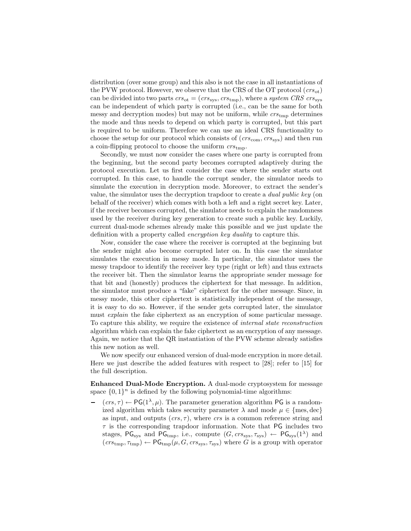distribution (over some group) and this also is not the case in all instantiations of the PVW protocol. However, we observe that the CRS of the OT protocol  $(crs_{\text{ot}})$ can be divided into two parts  $crs_{\text{ot}} = (crs_{\text{sys}}, crs_{\text{tmp}})$ , where a system CRS  $crs_{\text{sys}}$ can be independent of which party is corrupted (i.e., can be the same for both messy and decryption modes) but may not be uniform, while  $crs_{\text{tmp}}$  determines the mode and thus needs to depend on which party is corrupted, but this part is required to be uniform. Therefore we can use an ideal CRS functionality to choose the setup for our protocol which consists of  $(crs_{\text{com}}, crs_{\text{sys}})$  and then run a coin-flipping protocol to choose the uniform  $crs_{\text{tmp}}$ .

Secondly, we must now consider the cases where one party is corrupted from the beginning, but the second party becomes corrupted adaptively during the protocol execution. Let us first consider the case where the sender starts out corrupted. In this case, to handle the corrupt sender, the simulator needs to simulate the execution in decryption mode. Moreover, to extract the sender's value, the simulator uses the decryption trapdoor to create a dual public key (on behalf of the receiver) which comes with both a left and a right secret key. Later, if the receiver becomes corrupted, the simulator needs to explain the randomness used by the receiver during key generation to create such a public key. Luckily, current dual-mode schemes already make this possible and we just update the definition with a property called encryption key duality to capture this.

Now, consider the case where the receiver is corrupted at the beginning but the sender might also become corrupted later on. In this case the simulator simulates the execution in messy mode. In particular, the simulator uses the messy trapdoor to identify the receiver key type (right or left) and thus extracts the receiver bit. Then the simulator learns the appropriate sender message for that bit and (honestly) produces the ciphertext for that message. In addition, the simulator must produce a "fake" ciphertext for the other message. Since, in messy mode, this other ciphertext is statistically independent of the message, it is easy to do so. However, if the sender gets corrupted later, the simulator must *explain* the fake ciphertext as an encryption of some particular message. To capture this ability, we require the existence of internal state reconstruction algorithm which can explain the fake ciphertext as an encryption of any message. Again, we notice that the QR instantiation of the PVW scheme already satisfies this new notion as well.

We now specify our enhanced version of dual-mode encryption in more detail. Here we just describe the added features with respect to [28]; refer to [15] for the full description.

Enhanced Dual-Mode Encryption. A dual-mode cryptosystem for message space  $\{0,1\}^n$  is defined by the following polynomial-time algorithms:

 $(crs, \tau) \leftarrow PG(1^{\lambda}, \mu)$ . The parameter generation algorithm PG is a randomized algorithm which takes security parameter  $\lambda$  and mode  $\mu \in \{\text{mes, dec}\}\$ as input, and outputs  $(crs, \tau)$ , where crs is a common reference string and  $\tau$  is the corresponding trapdoor information. Note that PG includes two stages,  $PG_{sys}$  and  $PG_{tmp}$ , i.e., compute  $(G, crs_{sys}, \tau_{sys}) \leftarrow PG_{sys}(1^{\lambda})$  and  $(crs_{\text{tmp}}, \tau_{\text{tmp}}) \leftarrow PG_{\text{tmp}}(\mu, G, crs_{\text{sys}}, \tau_{\text{sys}})$  where G is a group with operator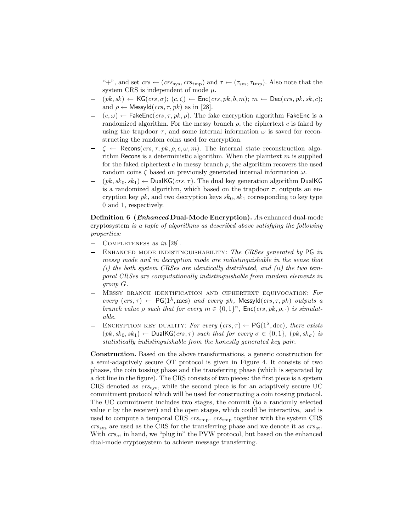"+", and set  $\mathit{crs} \leftarrow (\mathit{crs}_{sys}, \mathit{crs}_{tmp})$  and  $\tau \leftarrow (\tau_{sys}, \tau_{tmp})$ . Also note that the system CRS is independent of mode  $\mu$ .

- $(pk, sk) \leftarrow KG(crs, \sigma); (c, \zeta) \leftarrow Enc(crs, pk, b, m); m \leftarrow Dec(crs, pk, sk, c);$ and  $\rho \leftarrow$  MessyId(*crs*,  $\tau$ ,  $pk$ ) as in [28].
- $(-\infty, \omega) \leftarrow$  FakeEnc(crs,  $\tau$ , pk,  $\rho$ ). The fake encryption algorithm FakeEnc is a randomized algorithm. For the messy branch  $\rho$ , the ciphertext c is faked by using the trapdoor  $\tau$ , and some internal information  $\omega$  is saved for reconstructing the random coins used for encryption.
- $\zeta \leftarrow$  Recons(crs,  $\tau$ ,  $pk$ ,  $\rho$ ,  $c$ ,  $\omega$ ,  $m$ ). The internal state reconstruction algorithm Recons is a deterministic algorithm. When the plaintext  $m$  is supplied for the faked ciphertext c in messy branch  $\rho$ , the algorithm recovers the used random coins  $\zeta$  based on previously generated internal information  $\omega$ .
- $(pk, sk_0, sk_1) \leftarrow$  DualKG $(crs, \tau)$ . The dual key generation algorithm DualKG is a randomized algorithm, which based on the trapdoor  $\tau$ , outputs an encryption key pk, and two decryption keys  $sk_0, sk_1$  corresponding to key type 0 and 1, respectively.

Definition 6 (Enhanced Dual-Mode Encryption). An enhanced dual-mode cryptosystem is a tuple of algorithms as described above satisfying the following properties:

- COMPLETENESS as in [28].
- ENHANCED MODE INDISTINGUISHABILITY: The CRSes generated by PG in messy mode and in decryption mode are indistinguishable in the sense that  $(i)$  the both system CRSes are identically distributed, and  $(ii)$  the two temporal CRSes are computationally indistinguishable from random elements in group G.
- Messy branch identification and ciphertext equivocation: For every  $(crs, \tau) \leftarrow PG(1^{\lambda}, mes)$  and every pk, MessyId $(crs, \tau, pk)$  outputs a branch value  $\rho$  such that for every  $m \in \{0,1\}^n$ ,  $\mathsf{Enc}(\mathit{crs}, \mathit{pk}, \rho, \cdot)$  is simulatable.
- ENCRYPTION KEY DUALITY: For every  $(crs, \tau) \leftarrow PG(1^{\lambda}, dec)$ , there exists  $(pk, sk_0, sk_1) \leftarrow$  DualKG(crs,  $\tau$ ) such that for every  $\sigma \in \{0, 1\}$ ,  $(pk, sk_{\sigma})$  is statistically indistinguishable from the honestly generated key pair.

Construction. Based on the above transformations, a generic construction for a semi-adaptively secure OT protocol is given in Figure 4. It consists of two phases, the coin tossing phase and the transferring phase (which is separated by a dot line in the figure). The CRS consists of two pieces: the first piece is a system CRS denoted as  $cr s_{\rm sys}$ , while the second piece is for an adaptively secure UC commitment protocol which will be used for constructing a coin tossing protocol. The UC commitment includes two stages, the commit (to a randomly selected value  $r$  by the receiver) and the open stages, which could be interactive, and is used to compute a temporal CRS  $crs_{\rm tmp}.\ crs_{\rm tmp}$  together with the system CRS  $cr s_{\rm sys}$  are used as the CRS for the transferring phase and we denote it as  $cr s_{\rm ot}$ . With  $crs_{\text{ot}}$  in hand, we "plug in" the PVW protocol, but based on the enhanced dual-mode cryptosystem to achieve message transferring.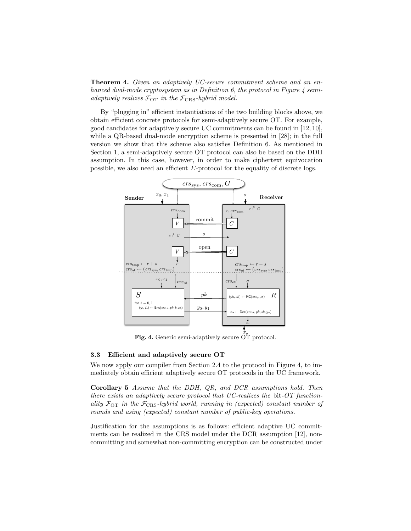Theorem 4. Given an adaptively UC-secure commitment scheme and an enhanced dual-mode cryptosystem as in Definition 6, the protocol in Figure 4 semiadaptively realizes  $\mathcal{F}_{\text{OT}}$  in the  $\mathcal{F}_{\text{CRS}}$ -hybrid model.

By "plugging in" efficient instantiations of the two building blocks above, we obtain efficient concrete protocols for semi-adaptively secure OT. For example, good candidates for adaptively secure UC commitments can be found in [12, 10], while a QR-based dual-mode encryption scheme is presented in [28]; in the full version we show that this scheme also satisfies Definition 6. As mentioned in Section 1, a semi-adaptively secure OT protocol can also be based on the DDH assumption. In this case, however, in order to make ciphertext equivocation possible, we also need an efficient  $\Sigma$ -protocol for the equality of discrete logs.



*x<sub>σ</sub>*<br>**Fig. 4.** Generic semi-adaptively secure OT protocol.

#### 3.3 Efficient and adaptively secure OT

We now apply our compiler from Section 2.4 to the protocol in Figure 4, to immediately obtain efficient adaptively secure OT protocols in the UC framework.

Corollary 5 Assume that the DDH, QR, and DCR assumptions hold. Then there exists an adaptively secure protocol that UC-realizes the bit- $OT$  functionality  $\mathcal{F}_{\text{OT}}$  in the  $\mathcal{F}_{\text{CRS}}$ -hybrid world, running in (expected) constant number of rounds and using (expected) constant number of public-key operations.

Justification for the assumptions is as follows: efficient adaptive UC commitments can be realized in the CRS model under the DCR assumption [12], noncommitting and somewhat non-committing encryption can be constructed under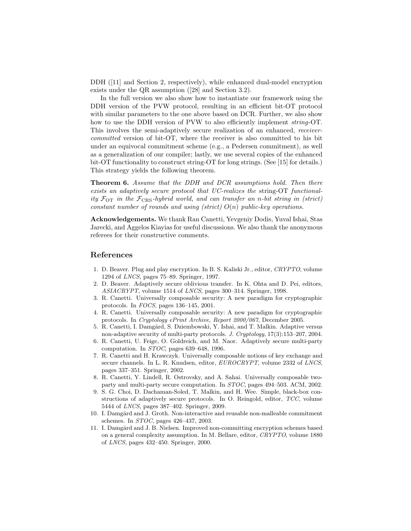DDH ([11] and Section 2, respectively), while enhanced dual-model encryption exists under the QR assumption ([28] and Section 3.2).

In the full version we also show how to instantiate our framework using the DDH version of the PVW protocol, resulting in an efficient bit-OT protocol with similar parameters to the one above based on DCR. Further, we also show how to use the DDH version of PVW to also efficiently implement string-OT. This involves the semi-adaptively secure realization of an enhanced, receivercommitted version of bit-OT, where the receiver is also committed to his bit under an equivocal commitment scheme (e.g., a Pedersen commitment), as well as a generalization of our compiler; lastly, we use several copies of the enhanced bit-OT functionality to construct string-OT for long strings. (See [15] for details.) This strategy yields the following theorem.

**Theorem 6.** Assume that the DDH and DCR assumptions hold. Then there exists an adaptively secure protocol that UC-realizes the string-OT functionality  $\mathcal{F}_{\text{OT}}$  in the  $\mathcal{F}_{\text{CRS}}$ -hybrid world, and can transfer an n-bit string in (strict) constant number of rounds and using (strict)  $O(n)$  public-key operations.

Acknowledgements. We thank Ran Canetti, Yevgeniy Dodis, Yuval Ishai, Stas Jarecki, and Aggelos Kiayias for useful discussions. We also thank the anonymous referees for their constructive comments.

## References

- 1. D. Beaver. Plug and play encryption. In B. S. Kaliski Jr., editor, CRYPTO, volume 1294 of LNCS, pages 75–89. Springer, 1997.
- 2. D. Beaver. Adaptively secure oblivious transfer. In K. Ohta and D. Pei, editors, ASIACRYPT, volume 1514 of LNCS, pages 300–314. Springer, 1998.
- 3. R. Canetti. Universally composable security: A new paradigm for cryptographic protocols. In FOCS, pages 136–145, 2001.
- 4. R. Canetti. Universally composable security: A new paradigm for cryptographic protocols. In Cryptology ePrint Archive, Report 2000/067, December 2005.
- 5. R. Canetti, I. Damgård, S. Dziembowski, Y. Ishai, and T. Malkin. Adaptive versus non-adaptive security of multi-party protocols. J. Cryptology, 17(3):153–207, 2004.
- 6. R. Canetti, U. Feige, O. Goldreich, and M. Naor. Adaptively secure multi-party computation. In STOC, pages 639–648, 1996.
- 7. R. Canetti and H. Krawczyk. Universally composable notions of key exchange and secure channels. In L. R. Knudsen, editor, EUROCRYPT, volume 2332 of LNCS, pages 337–351. Springer, 2002.
- 8. R. Canetti, Y. Lindell, R. Ostrovsky, and A. Sahai. Universally composable twoparty and multi-party secure computation. In STOC, pages 494–503. ACM, 2002.
- 9. S. G. Choi, D. Dachaman-Soled, T. Malkin, and H. Wee. Simple, black-box constructions of adaptively secure protocols. In O. Reingold, editor, TCC, volume 5444 of LNCS, pages 387–402. Springer, 2009.
- 10. I. Damgård and J. Groth. Non-interactive and reusable non-malleable commitment schemes. In STOC, pages 426–437, 2003.
- 11. I. Damgård and J. B. Nielsen. Improved non-committing encryption schemes based on a general complexity assumption. In M. Bellare, editor, CRYPTO, volume 1880 of LNCS, pages 432–450. Springer, 2000.